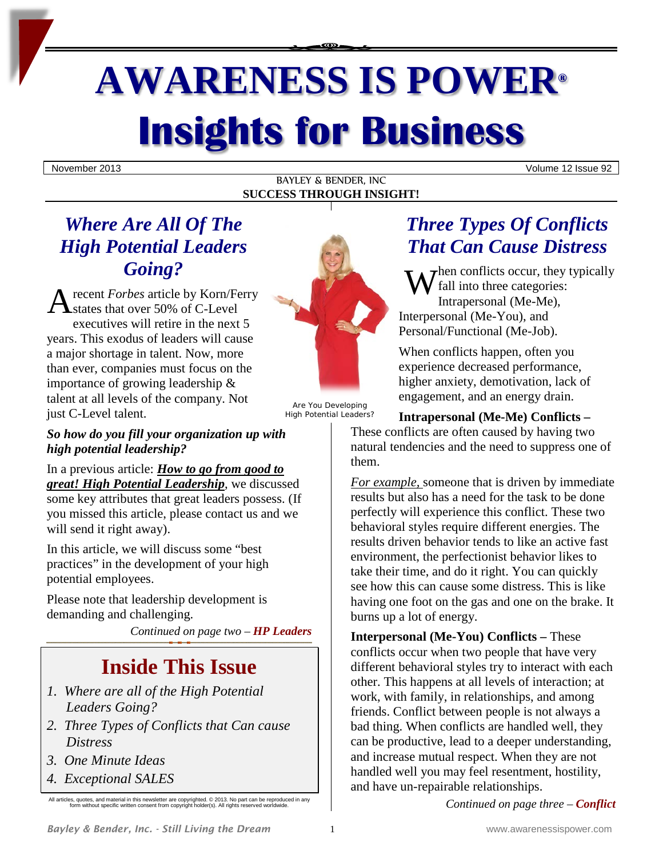# **AWARENESS IS POWER® Insights for Business**

November 2013 Volume 12 Issue 92

BAYLEY & BENDER, INC **SUCCESS THROUGH INSIGHT!**

# *Where Are All Of The High Potential Leaders Going?*

recent *Forbes* article by Korn/Ferry states that over 50% of C-Level executives will retire in the next 5 years. This exodus of leaders will cause a major shortage in talent. Now, more than ever, companies must focus on the importance of growing leadership & talent at all levels of the company. Not just C-Level talent. Going:<br>
A recent Forbes article by Korn/Ferry<br>
A states that over 50% of C-Level<br>
Interper



Are You Developing High Potential Leaders?

## *So how do you fill your organization up with high potential leadership?*

In a previous article: *How to go from good to great! High Potential Leadership*, we discussed some key attributes that great leaders possess. (If you missed this article, please contact us and we will send it right away).

In this article, we will discuss some "best practices" in the development of your high potential employees.

Please note that leadership development is demanding and challenging.

*Continued on page two – HP Leaders*

# **Inside This Issue**

- *1. Where are all of the High Potential Leaders Going?*
- *2. Three Types of Conflicts that Can cause Distress*
- *3. One Minute Ideas*
- *4. Exceptional SALES*

# *Three Types Of Conflicts That Can Cause Distress*

 $\tau$   $\tau$  hen conflicts occur, they typically fall into three categories: Intrapersonal (Me-Me), Interpersonal (Me-You), and Personal/Functional (Me-Job).

When conflicts happen, often you experience decreased performance, higher anxiety, demotivation, lack of engagement, and an energy drain.

#### **Intrapersonal (Me-Me) Conflicts –**

These conflicts are often caused by having two natural tendencies and the need to suppress one of them.

*For example,* someone that is driven by immediate results but also has a need for the task to be done perfectly will experience this conflict. These two behavioral styles require different energies. The results driven behavior tends to like an active fast environment, the perfectionist behavior likes to take their time, and do it right. You can quickly see how this can cause some distress. This is like having one foot on the gas and one on the brake. It burns up a lot of energy.

**Interpersonal (Me-You) Conflicts –** These conflicts occur when two people that have very different behavioral styles try to interact with each other. This happens at all levels of interaction; at work, with family, in relationships, and among friends. Conflict between people is not always a bad thing. When conflicts are handled well, they can be productive, lead to a deeper understanding, and increase mutual respect. When they are not handled well you may feel resentment, hostility, and have un-repairable relationships.

*Continued on page three – Conflict*

All articles, quotes, and material in this newsletter are copyrighted. © 2013. No part can be reproduced in any form without specific written consent from copyright holder(s). All rights reserved worldwide.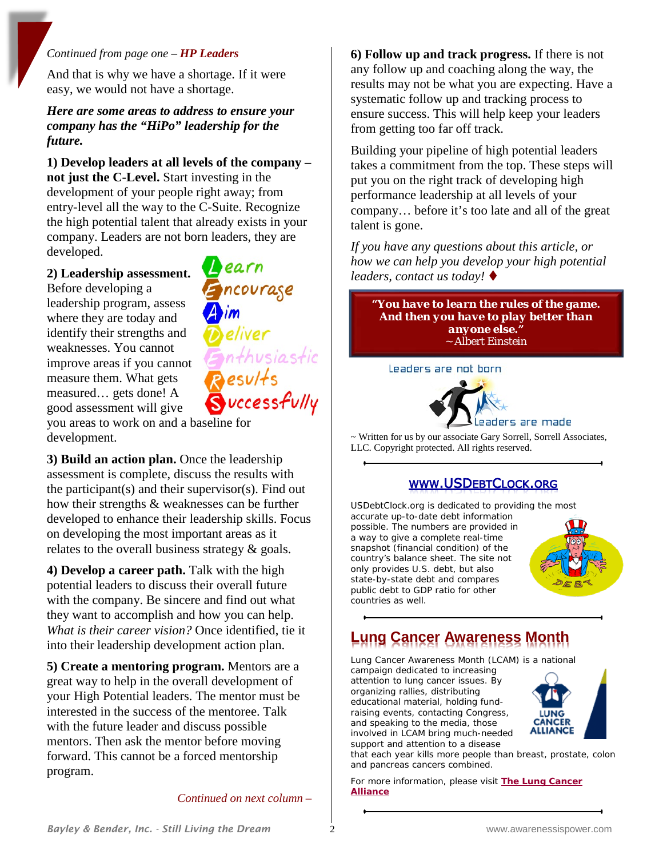#### *Continued from page one – HP Leaders*

And that is why we have a shortage. If it were easy, we would not have a shortage.

#### *Here are some areas to address to ensure your company has the "HiPo" leadership for the future.*

**1) Develop leaders at all levels of the company – not just the C-Level.** Start investing in the development of your people right away; from entry-level all the way to the C-Suite. Recognize the high potential talent that already exists in your company. Leaders are not born leaders, they are developed.

**2) Leadership assessment.**

Before developing a leadership program, assess where they are today and identify their strengths and weaknesses. You cannot improve areas if you cannot measure them. What gets measured… gets done! A good assessment will give

earn Encourage Enthusiastic  $B$ esults vccessfully

you areas to work on and a baseline for development.

**3) Build an action plan.** Once the leadership assessment is complete, discuss the results with the participant(s) and their supervisor(s). Find out how their strengths & weaknesses can be further developed to enhance their leadership skills. Focus on developing the most important areas as it relates to the overall business strategy & goals.

**4) Develop a career path.** Talk with the high potential leaders to discuss their overall future with the company. Be sincere and find out what they want to accomplish and how you can help. *What is their career vision?* Once identified, tie it into their leadership development action plan.

**5) Create a mentoring program.** Mentors are a great way to help in the overall development of your High Potential leaders. The mentor must be interested in the success of the mentoree. Talk with the future leader and discuss possible mentors. Then ask the mentor before moving forward. This cannot be a forced mentorship program.

*Continued on next column –*

**6) Follow up and track progress.** If there is not any follow up and coaching along the way, the results may not be what you are expecting. Have a systematic follow up and tracking process to ensure success. This will help keep your leaders from getting too far off track.

Building your pipeline of high potential leaders takes a commitment from the top. These steps will put you on the right track of developing high performance leadership at all levels of your company… before it's too late and all of the great talent is gone.

*If you have any questions about this article, or how we can help you develop your high potential leaders, contact us today!*

*"You have to learn the rules of the game. And then you have to play better than anyone else."* ~ Albert Einstein

Leaders are not born



~ Written for us by our associate Gary Sorrell, Sorrell Associates, LLC. Copyright protected. All rights reserved.

#### **WWW.USDEBTCLOCK.ORG**

USDebtClock.org is dedicated to providing the most accurate up-to-date debt information

possible. The numbers are provided in a way to give a complete real-time snapshot (financial condition) of the country's balance sheet. The site not only provides U.S. debt, but also state-by-state debt and compares public debt to GDP ratio for other countries as well.



# **Lung Cancer Awareness Month**

Lung Cancer Awareness Month (LCAM) is a national campaign dedicated to increasing

attention to lung cancer issues. By organizing rallies, distributing educational material, holding fundraising events, contacting Congress, and speaking to the media, those involved in LCAM bring much-needed support and attention to a disease



that each year kills more people than breast, prostate, colon and pancreas cancers combined.

For more information, please visit **[The Lung Cancer](http://www.lungcanceralliance.org/involved/lcam_month.html)  [Alliance](http://www.lungcanceralliance.org/involved/lcam_month.html)**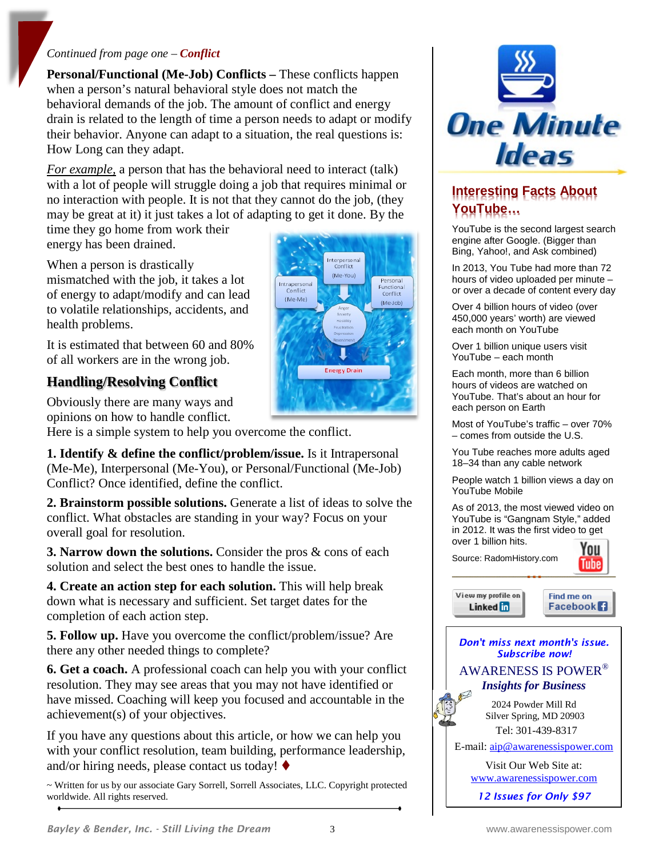#### *Continued from page one – Conflict*

**Personal/Functional (Me-Job) Conflicts –** These conflicts happen when a person's natural behavioral style does not match the behavioral demands of the job. The amount of conflict and energy drain is related to the length of time a person needs to adapt or modify their behavior. Anyone can adapt to a situation, the real questions is: How Long can they adapt.

*For example,* a person that has the behavioral need to interact (talk) with a lot of people will struggle doing a job that requires minimal or no interaction with people. It is not that they cannot do the job, (they may be great at it) it just takes a lot of adapting to get it done. By the

time they go home from work their energy has been drained.

When a person is drastically mismatched with the job, it takes a lot of energy to adapt/modify and can lead to volatile relationships, accidents, and health problems.

It is estimated that between 60 and 80% of all workers are in the wrong job.

## **Handling/Resolving Conflict**

Obviously there are many ways and opinions on how to handle conflict.

Here is a simple system to help you overcome the conflict.

**1. Identify & define the conflict/problem/issue.** Is it Intrapersonal (Me-Me), Interpersonal (Me-You), or Personal/Functional (Me-Job) Conflict? Once identified, define the conflict.

**2. Brainstorm possible solutions.** Generate a list of ideas to solve the conflict. What obstacles are standing in your way? Focus on your overall goal for resolution.

**3. Narrow down the solutions.** Consider the pros & cons of each solution and select the best ones to handle the issue.

**4. Create an action step for each solution.** This will help break down what is necessary and sufficient. Set target dates for the completion of each action step.

**5. Follow up.** Have you overcome the conflict/problem/issue? Are there any other needed things to complete?

**6. Get a coach.** A professional coach can help you with your conflict resolution. They may see areas that you may not have identified or have missed. Coaching will keep you focused and accountable in the achievement(s) of your objectives.

If you have any questions about this article, or how we can help you with your conflict resolution, team building, performance leadership, and/or hiring needs, please contact us today!  $\blacklozenge$ 

~ Written for us by our associate Gary Sorrell, Sorrell Associates, LLC. Copyright protected worldwide. All rights reserved.



## **Interesting Facts About YouTube…**

YouTube is the second largest search engine after Google. (Bigger than Bing, Yahoo!, and Ask combined)

In 2013, You Tube had more than 72 hours of video uploaded per minute – or over a decade of content every day

Over 4 billion hours of video (over 450,000 years' worth) are viewed each month on YouTube

Over 1 billion unique users visit YouTube – each month

Each month, more than 6 billion hours of videos are watched on YouTube. That's about an hour for each person on Earth

Most of YouTube's traffic – over 70% – comes from outside the U.S.

You Tube reaches more adults aged 18–34 than any cable network

People watch 1 billion views a day on YouTube Mobile

As of 2013, the most viewed video on YouTube is "Gangnam Style," added in 2012. It was the first video to get over 1 billion hits.

Source: RadomHistory.com



View my profile on Linked in

Find me on **Facebook** 

#### *Don't miss next month's issue. Subscribe now!* AWARENESS IS POWER® *Insights for Business*

2024 Powder Mill Rd Silver Spring, MD 20903 Tel: 301-439-8317

E-mail: [aip@awarenessispower.com](mailto:aip@awarenessispower.com)

Visit Our Web Site at: [www.awarenessispower.com](http://www.awarenessispower.com/)

*12 Issues for Only \$97*

Interpersonal<br>Conflict (Me-You)

**Energy Drain** 

Intraperson

Conflict

(Me-Me)

Personal

Functional

Conflict

 $(Me-10b)$